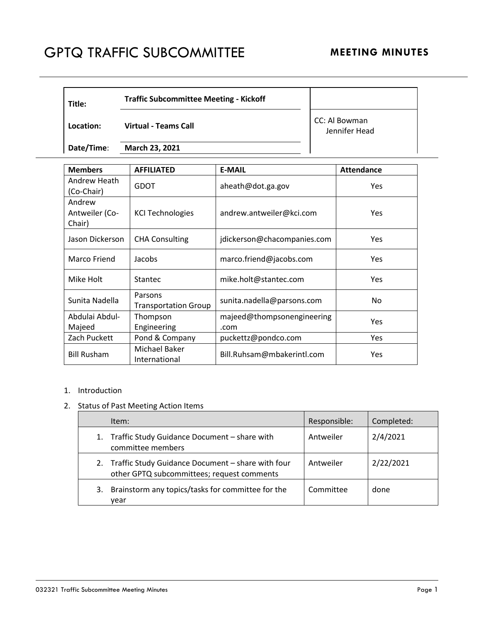## GPTQ TRAFFIC SUBCOMMITTEE MEETING MINUTES

| Title:    | <b>Traffic Subcommittee Meeting - Kickoff</b> |                                |
|-----------|-----------------------------------------------|--------------------------------|
| Location: | <b>Virtual - Teams Call</b>                   | CC: Al Bowman<br>Jennifer Head |

**Date/Time**: **March 23, 2021** 

| <b>Members</b>                     | <b>AFFILIATED</b>                      | <b>E-MAIL</b>                      | <b>Attendance</b> |
|------------------------------------|----------------------------------------|------------------------------------|-------------------|
| Andrew Heath<br>(Co-Chair)         | <b>GDOT</b>                            | aheath@dot.ga.gov                  | Yes               |
| Andrew<br>Antweiler (Co-<br>Chair) | <b>KCI Technologies</b>                | andrew.antweiler@kci.com           | Yes               |
| Jason Dickerson                    | <b>CHA Consulting</b>                  | jdickerson@chacompanies.com        | Yes               |
| Marco Friend                       | Jacobs                                 | marco.friend@jacobs.com            | Yes               |
| Mike Holt                          | Stantec                                | mike.holt@stantec.com              | Yes               |
| Sunita Nadella                     | Parsons<br><b>Transportation Group</b> | sunita.nadella@parsons.com         | No.               |
| Abdulai Abdul-<br>Majeed           | Thompson<br>Engineering                | majeed@thompsonengineering<br>.com | Yes               |
| Zach Puckett                       | Pond & Company                         | puckettz@pondco.com                | Yes               |
| <b>Bill Rusham</b>                 | Michael Baker<br>International         | Bill.Ruhsam@mbakerintl.com         | Yes               |

## 1. Introduction

## 2. Status of Past Meeting Action Items

|    | Item:                                                                                              | Responsible: | Completed: |
|----|----------------------------------------------------------------------------------------------------|--------------|------------|
|    | 1. Traffic Study Guidance Document - share with<br>committee members                               | Antweiler    | 2/4/2021   |
|    | 2. Traffic Study Guidance Document - share with four<br>other GPTQ subcommittees; request comments | Antweiler    | 2/22/2021  |
| 3. | Brainstorm any topics/tasks for committee for the<br>vear                                          | Committee    | done       |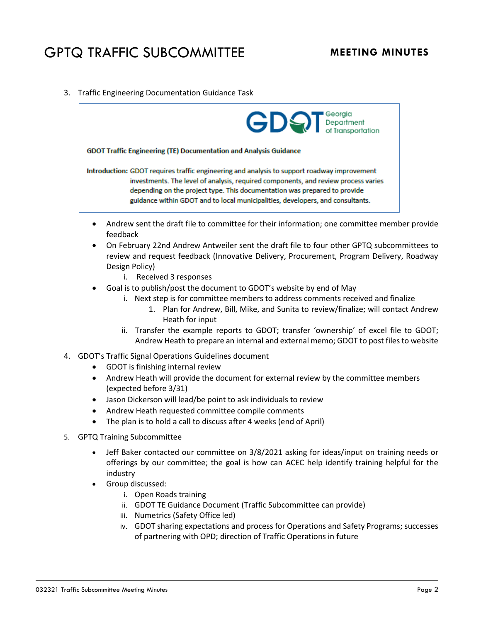3. Traffic Engineering Documentation Guidance Task



- Andrew sent the draft file to committee for their information; one committee member provide feedback
- On February 22nd Andrew Antweiler sent the draft file to four other GPTQ subcommittees to review and request feedback (Innovative Delivery, Procurement, Program Delivery, Roadway Design Policy)
	- i. Received 3 responses
- Goal is to publish/post the document to GDOT's website by end of May
	- i. Next step is for committee members to address comments received and finalize
		- 1. Plan for Andrew, Bill, Mike, and Sunita to review/finalize; will contact Andrew Heath for input
	- ii. Transfer the example reports to GDOT; transfer 'ownership' of excel file to GDOT; Andrew Heath to prepare an internal and external memo; GDOT to post files to website
- 4. GDOT's Traffic Signal Operations Guidelines document
	- GDOT is finishing internal review
	- Andrew Heath will provide the document for external review by the committee members (expected before 3/31)
	- Jason Dickerson will lead/be point to ask individuals to review
	- Andrew Heath requested committee compile comments
	- The plan is to hold a call to discuss after 4 weeks (end of April)
- 5. GPTQ Training Subcommittee
	- Jeff Baker contacted our committee on 3/8/2021 asking for ideas/input on training needs or offerings by our committee; the goal is how can ACEC help identify training helpful for the industry
	- Group discussed:
		- i. Open Roads training
		- ii. GDOT TE Guidance Document (Traffic Subcommittee can provide)
		- iii. Numetrics (Safety Office led)
		- iv. GDOT sharing expectations and process for Operations and Safety Programs; successes of partnering with OPD; direction of Traffic Operations in future